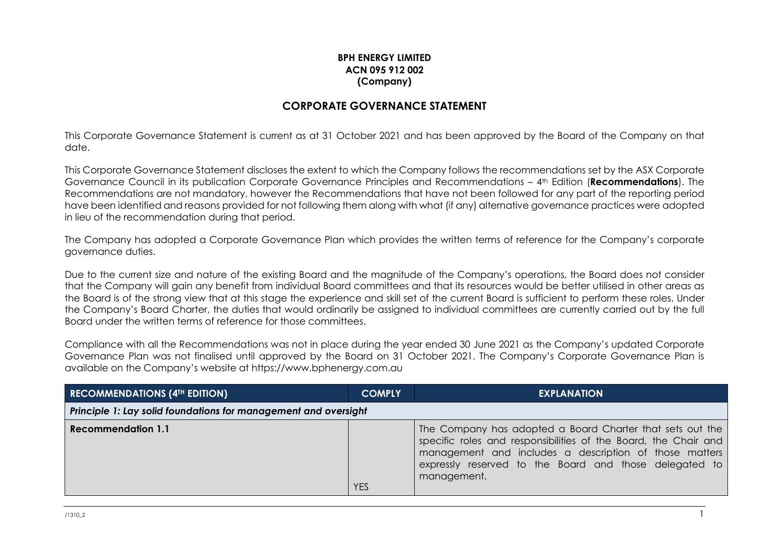## **BPH ENERGY LIMITED ACN 095 912 002 (Company)**

## **CORPORATE GOVERNANCE STATEMENT**

This Corporate Governance Statement is current as at 31 October 2021 and has been approved by the Board of the Company on that date.

This Corporate Governance Statement discloses the extent to which the Company follows the recommendations set by the ASX Corporate Governance Council in its publication Corporate Governance Principles and Recommendations – 4th Edition (**Recommendations**). The Recommendations are not mandatory, however the Recommendations that have not been followed for any part of the reporting period have been identified and reasons provided for not following them along with what (if any) alternative governance practices were adopted in lieu of the recommendation during that period.

The Company has adopted a Corporate Governance Plan which provides the written terms of reference for the Company's corporate governance duties.

Due to the current size and nature of the existing Board and the magnitude of the Company's operations, the Board does not consider that the Company will gain any benefit from individual Board committees and that its resources would be better utilised in other areas as the Board is of the strong view that at this stage the experience and skill set of the current Board is sufficient to perform these roles. Under the Company's Board Charter, the duties that would ordinarily be assigned to individual committees are currently carried out by the full Board under the written terms of reference for those committees.

Compliance with all the Recommendations was not in place during the year ended 30 June 2021 as the Company's updated Corporate Governance Plan was not finalised until approved by the Board on 31 October 2021. The Company's Corporate Governance Plan is available on the Company's website at https://www.bphenergy.com.au

| <b>RECOMMENDATIONS (4TH EDITION)</b>                            | <b>COMPLY</b> | <b>EXPLANATION</b> |  |  |  |  |
|-----------------------------------------------------------------|---------------|--------------------|--|--|--|--|
| Principle 1: Lay solid foundations for management and oversight |               |                    |  |  |  |  |
| <b>Recommendation 1.1</b>                                       | <b>YES</b>    |                    |  |  |  |  |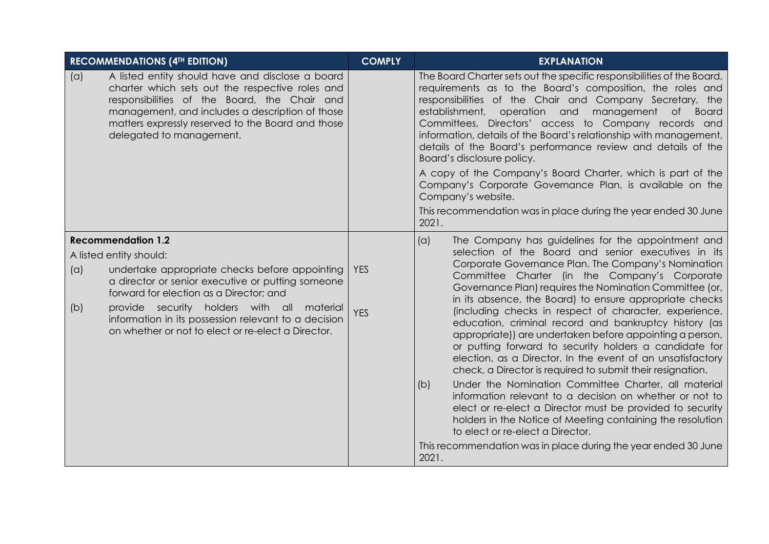|            | <b>RECOMMENDATIONS (4TH EDITION)</b>                                                                                                                                                                                                                                                                                                                               | <b>COMPLY</b>      | <b>EXPLANATION</b>                                                                                                                                                                                                                                                                                                                                                                                                                                                                                                                                                                                                                                                                                                                                                                                                                                                                                                                                                                                                                                                             |
|------------|--------------------------------------------------------------------------------------------------------------------------------------------------------------------------------------------------------------------------------------------------------------------------------------------------------------------------------------------------------------------|--------------------|--------------------------------------------------------------------------------------------------------------------------------------------------------------------------------------------------------------------------------------------------------------------------------------------------------------------------------------------------------------------------------------------------------------------------------------------------------------------------------------------------------------------------------------------------------------------------------------------------------------------------------------------------------------------------------------------------------------------------------------------------------------------------------------------------------------------------------------------------------------------------------------------------------------------------------------------------------------------------------------------------------------------------------------------------------------------------------|
| (a)        | A listed entity should have and disclose a board<br>charter which sets out the respective roles and<br>responsibilities of the Board, the Chair and<br>management, and includes a description of those<br>matters expressly reserved to the Board and those<br>delegated to management.                                                                            |                    | The Board Charter sets out the specific responsibilities of the Board,<br>requirements as to the Board's composition, the roles and<br>responsibilities of the Chair and Company Secretary, the<br>establishment,<br>operation and<br>management<br><b>Board</b><br>of l<br>Committees, Directors' access to Company records and<br>information, details of the Board's relationship with management,<br>details of the Board's performance review and details of the<br>Board's disclosure policy.<br>A copy of the Company's Board Charter, which is part of the<br>Company's Corporate Governance Plan, is available on the<br>Company's website.<br>This recommendation was in place during the year ended 30 June<br>2021.                                                                                                                                                                                                                                                                                                                                                |
| (a)<br>(b) | <b>Recommendation 1.2</b><br>A listed entity should:<br>undertake appropriate checks before appointing<br>a director or senior executive or putting someone<br>forward for election as a Director; and<br>provide security holders with all material<br>information in its possession relevant to a decision<br>on whether or not to elect or re-elect a Director. | YES.<br><b>YES</b> | (a)<br>The Company has guidelines for the appointment and<br>selection of the Board and senior executives in its<br>Corporate Governance Plan. The Company's Nomination<br>Committee Charter (in the Company's Corporate<br>Governance Plan) requires the Nomination Committee (or,<br>in its absence, the Board) to ensure appropriate checks<br>(including checks in respect of character, experience,<br>education, criminal record and bankruptcy history (as<br>appropriate)) are undertaken before appointing a person,<br>or putting forward to security holders a candidate for<br>election, as a Director. In the event of an unsatisfactory<br>check, a Director is required to submit their resignation.<br>Under the Nomination Committee Charter, all material<br>(b)<br>information relevant to a decision on whether or not to<br>elect or re-elect a Director must be provided to security<br>holders in the Notice of Meeting containing the resolution<br>to elect or re-elect a Director.<br>This recommendation was in place during the year ended 30 June |
|            |                                                                                                                                                                                                                                                                                                                                                                    |                    | 2021.                                                                                                                                                                                                                                                                                                                                                                                                                                                                                                                                                                                                                                                                                                                                                                                                                                                                                                                                                                                                                                                                          |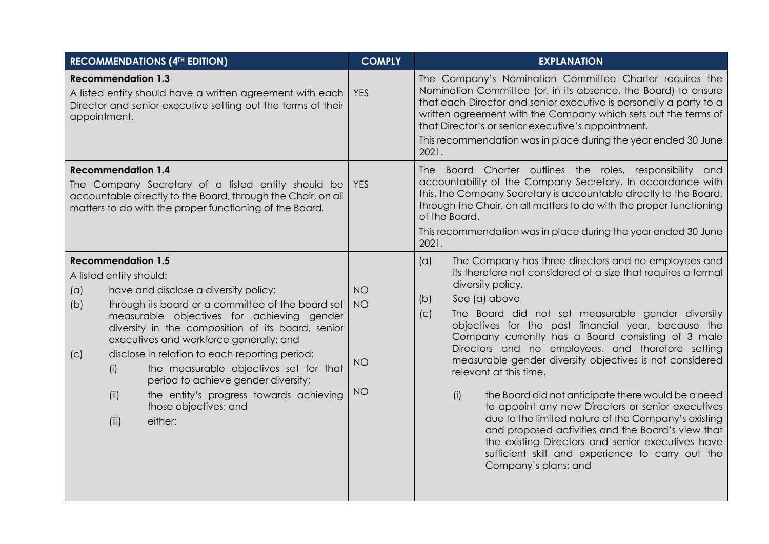|                                                                                                                                                                                                            | <b>RECOMMENDATIONS (4TH EDITION)</b>                                                                                                                                                                                                                                                                                                                                                                                                                       | <b>COMPLY</b>                                    | <b>EXPLANATION</b>                                                                                                                                                                                                                                                                                                                                                                                                                                                                                                                                                                                                                                                                                                                                                                                                                                           |
|------------------------------------------------------------------------------------------------------------------------------------------------------------------------------------------------------------|------------------------------------------------------------------------------------------------------------------------------------------------------------------------------------------------------------------------------------------------------------------------------------------------------------------------------------------------------------------------------------------------------------------------------------------------------------|--------------------------------------------------|--------------------------------------------------------------------------------------------------------------------------------------------------------------------------------------------------------------------------------------------------------------------------------------------------------------------------------------------------------------------------------------------------------------------------------------------------------------------------------------------------------------------------------------------------------------------------------------------------------------------------------------------------------------------------------------------------------------------------------------------------------------------------------------------------------------------------------------------------------------|
| <b>Recommendation 1.3</b><br>A listed entity should have a written agreement with each<br>Director and senior executive setting out the terms of their<br>appointment.                                     |                                                                                                                                                                                                                                                                                                                                                                                                                                                            | <b>YES</b>                                       | The Company's Nomination Committee Charter requires the<br>Nomination Committee (or, in its absence, the Board) to ensure<br>that each Director and senior executive is personally a party to a<br>written agreement with the Company which sets out the terms of<br>that Director's or senior executive's appointment.<br>This recommendation was in place during the year ended 30 June<br>2021.                                                                                                                                                                                                                                                                                                                                                                                                                                                           |
| <b>Recommendation 1.4</b><br>The Company Secretary of a listed entity should be<br>accountable directly to the Board, through the Chair, on all<br>matters to do with the proper functioning of the Board. |                                                                                                                                                                                                                                                                                                                                                                                                                                                            | <b>YES</b>                                       | The Board Charter outlines the roles, responsibility and<br>accountability of the Company Secretary. In accordance with<br>this, the Company Secretary is accountable directly to the Board,<br>through the Chair, on all matters to do with the proper functioning<br>of the Board.<br>This recommendation was in place during the year ended 30 June<br>2021.                                                                                                                                                                                                                                                                                                                                                                                                                                                                                              |
| <b>Recommendation 1.5</b><br>A listed entity should:<br>(a)<br>(b)<br>(C)<br>(i)<br>(ii)<br>(iii)                                                                                                          | have and disclose a diversity policy;<br>through its board or a committee of the board set<br>measurable objectives for achieving gender<br>diversity in the composition of its board, senior<br>executives and workforce generally; and<br>disclose in relation to each reporting period:<br>the measurable objectives set for that<br>period to achieve gender diversity;<br>the entity's progress towards achieving<br>those objectives; and<br>either: | <b>NO</b><br><b>NO</b><br><b>NO</b><br><b>NO</b> | The Company has three directors and no employees and<br>(a)<br>ifs therefore not considered of a size that requires a formal<br>diversity policy.<br>See (a) above<br>(b)<br>The Board did not set measurable gender diversity<br>(C)<br>objectives for the past financial year, because the<br>Company currently has a Board consisting of 3 male<br>Directors and no employees, and therefore setting<br>measurable gender diversity objectives is not considered<br>relevant at this time.<br>the Board did not anticipate there would be a need<br>(i)<br>to appoint any new Directors or senior executives<br>due to the limited nature of the Company's existing<br>and proposed activities and the Board's view that<br>the existing Directors and senior executives have<br>sufficient skill and experience to carry out the<br>Company's plans; and |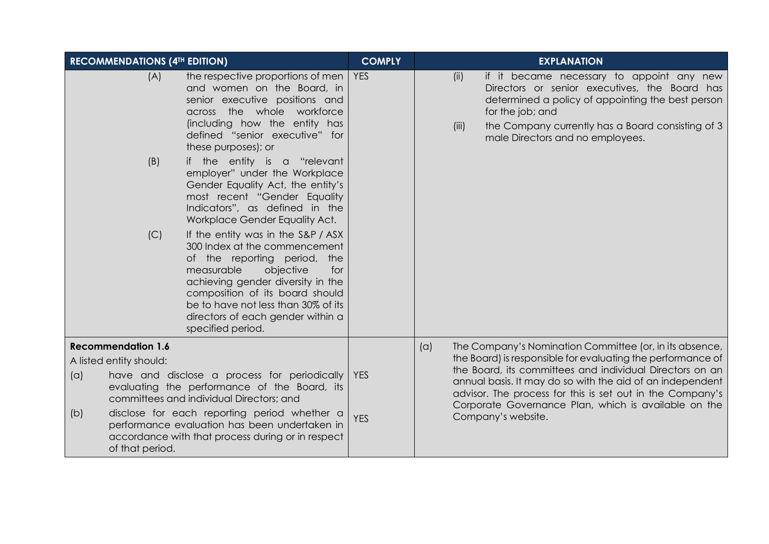|            | <b>RECOMMENDATIONS (4TH EDITION)</b>                                    |                                                                                                                                                                                                                                                                                                                   | <b>COMPLY</b>            |     | <b>EXPLANATION</b> |                                                                                                                                                                                                                                                                                                                                                                                            |  |
|------------|-------------------------------------------------------------------------|-------------------------------------------------------------------------------------------------------------------------------------------------------------------------------------------------------------------------------------------------------------------------------------------------------------------|--------------------------|-----|--------------------|--------------------------------------------------------------------------------------------------------------------------------------------------------------------------------------------------------------------------------------------------------------------------------------------------------------------------------------------------------------------------------------------|--|
|            | (A)                                                                     | the respective proportions of men<br>and women on the Board, in<br>senior executive positions and<br>across the whole workforce<br>(including how the entity has<br>defined "senior executive" for<br>these purposes); or                                                                                         | <b>YES</b>               |     | (ii)<br>(iii)      | if it became necessary to appoint any new<br>Directors or senior executives, the Board has<br>determined a policy of appointing the best person<br>for the job; and<br>the Company currently has a Board consisting of 3<br>male Directors and no employees.                                                                                                                               |  |
|            | (B)                                                                     | if the entity is a "relevant<br>employer" under the Workplace<br>Gender Equality Act, the entity's<br>most recent "Gender Equality<br>Indicators", as defined in the<br>Workplace Gender Equality Act.                                                                                                            |                          |     |                    |                                                                                                                                                                                                                                                                                                                                                                                            |  |
|            | (C)                                                                     | If the entity was in the S&P / ASX<br>300 Index at the commencement<br>of the reporting period,<br>the<br>objective<br>measurable<br>for<br>achieving gender diversity in the<br>composition of its board should<br>be to have not less than 30% of its<br>directors of each gender within a<br>specified period. |                          |     |                    |                                                                                                                                                                                                                                                                                                                                                                                            |  |
| (a)<br>(b) | <b>Recommendation 1.6</b><br>A listed entity should:<br>of that period. | have and disclose a process for periodically<br>evaluating the performance of the Board, its<br>committees and individual Directors; and<br>disclose for each reporting period whether a<br>performance evaluation has been undertaken in<br>accordance with that process during or in respect                    | <b>YES</b><br><b>YES</b> | (a) |                    | The Company's Nomination Committee (or, in its absence,<br>the Board) is responsible for evaluating the performance of<br>the Board, its committees and individual Directors on an<br>annual basis. It may do so with the aid of an independent<br>advisor. The process for this is set out in the Company's<br>Corporate Governance Plan, which is available on the<br>Company's website. |  |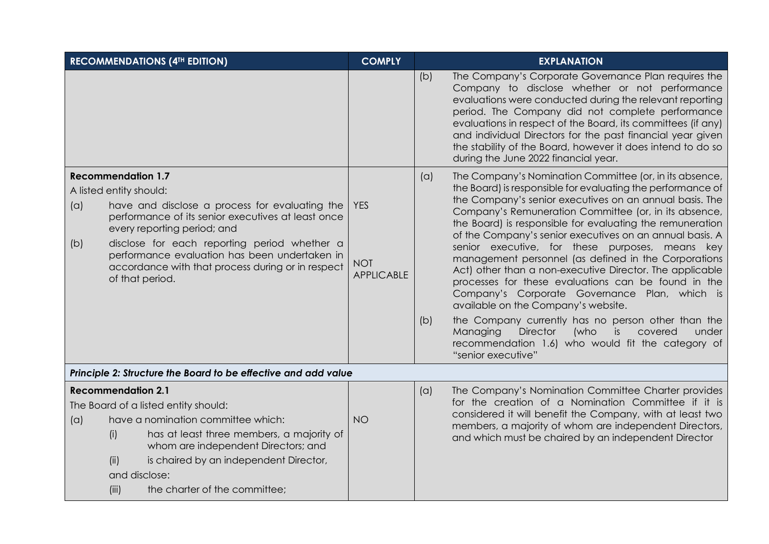|                                                                                                                                                                                                                                                                                                                                                                                    | <b>RECOMMENDATIONS (4TH EDITION)</b>                                                                                                                                                                                                                                               | <b>COMPLY</b>                                 |            | <b>EXPLANATION</b>                                                                                                                                                                                                                                                                                                                                                                                                                                                                                                                                                                                                                                                                                                                                                                                                                                                                                 |
|------------------------------------------------------------------------------------------------------------------------------------------------------------------------------------------------------------------------------------------------------------------------------------------------------------------------------------------------------------------------------------|------------------------------------------------------------------------------------------------------------------------------------------------------------------------------------------------------------------------------------------------------------------------------------|-----------------------------------------------|------------|----------------------------------------------------------------------------------------------------------------------------------------------------------------------------------------------------------------------------------------------------------------------------------------------------------------------------------------------------------------------------------------------------------------------------------------------------------------------------------------------------------------------------------------------------------------------------------------------------------------------------------------------------------------------------------------------------------------------------------------------------------------------------------------------------------------------------------------------------------------------------------------------------|
|                                                                                                                                                                                                                                                                                                                                                                                    |                                                                                                                                                                                                                                                                                    |                                               | (b)        | The Company's Corporate Governance Plan requires the<br>Company to disclose whether or not performance<br>evaluations were conducted during the relevant reporting<br>period. The Company did not complete performance<br>evaluations in respect of the Board, its committees (if any)<br>and individual Directors for the past financial year given<br>the stability of the Board, however it does intend to do so<br>during the June 2022 financial year.                                                                                                                                                                                                                                                                                                                                                                                                                                        |
| <b>Recommendation 1.7</b><br>A listed entity should:<br>(a)<br>have and disclose a process for evaluating the<br>performance of its senior executives at least once<br>every reporting period; and<br>disclose for each reporting period whether a<br>(b)<br>performance evaluation has been undertaken in<br>accordance with that process during or in respect<br>of that period. |                                                                                                                                                                                                                                                                                    | <b>YES</b><br><b>NOT</b><br><b>APPLICABLE</b> | (a)<br>(b) | The Company's Nomination Committee (or, in its absence,<br>the Board) is responsible for evaluating the performance of<br>the Company's senior executives on an annual basis. The<br>Company's Remuneration Committee (or, in its absence,<br>the Board) is responsible for evaluating the remuneration<br>of the Company's senior executives on an annual basis. A<br>senior executive, for these purposes, means key<br>management personnel (as defined in the Corporations<br>Act) other than a non-executive Director. The applicable<br>processes for these evaluations can be found in the<br>Company's Corporate Governance Plan, which is<br>available on the Company's website.<br>the Company currently has no person other than the<br><b>Director</b><br>Managing<br>(who<br>covered<br><i>is</i><br>under<br>recommendation 1.6) who would fit the category of<br>"senior executive" |
|                                                                                                                                                                                                                                                                                                                                                                                    | Principle 2: Structure the Board to be effective and add value                                                                                                                                                                                                                     |                                               |            |                                                                                                                                                                                                                                                                                                                                                                                                                                                                                                                                                                                                                                                                                                                                                                                                                                                                                                    |
|                                                                                                                                                                                                                                                                                                                                                                                    | <b>Recommendation 2.1</b>                                                                                                                                                                                                                                                          |                                               | (a)        | The Company's Nomination Committee Charter provides<br>for the creation of a Nomination Committee if it is                                                                                                                                                                                                                                                                                                                                                                                                                                                                                                                                                                                                                                                                                                                                                                                         |
| (a)                                                                                                                                                                                                                                                                                                                                                                                | The Board of a listed entity should:<br>have a nomination committee which:<br>has at least three members, a majority of<br>(i)<br>whom are independent Directors; and<br>(ii)<br>is chaired by an independent Director,<br>and disclose:<br>(iii)<br>the charter of the committee; | <b>NO</b>                                     |            | considered it will benefit the Company, with at least two<br>members, a majority of whom are independent Directors,<br>and which must be chaired by an independent Director                                                                                                                                                                                                                                                                                                                                                                                                                                                                                                                                                                                                                                                                                                                        |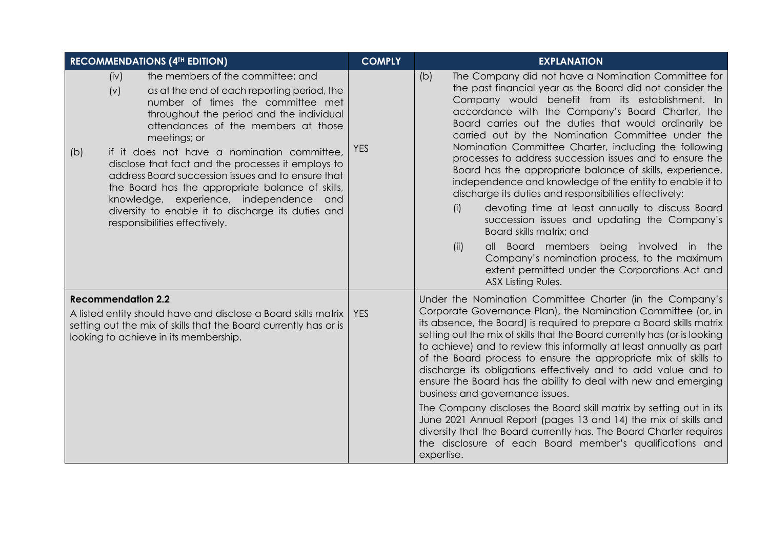| <b>RECOMMENDATIONS (4TH EDITION)</b>                                                                                                                                                                                                                                                                                                                                                                                                                                                                                                                                                            | <b>COMPLY</b> | <b>EXPLANATION</b>                                                                                                                                                                                                                                                                                                                                                                                                                                                                                                                                                                                                                                                                                                                                                                                                                                                                                                                                                      |
|-------------------------------------------------------------------------------------------------------------------------------------------------------------------------------------------------------------------------------------------------------------------------------------------------------------------------------------------------------------------------------------------------------------------------------------------------------------------------------------------------------------------------------------------------------------------------------------------------|---------------|-------------------------------------------------------------------------------------------------------------------------------------------------------------------------------------------------------------------------------------------------------------------------------------------------------------------------------------------------------------------------------------------------------------------------------------------------------------------------------------------------------------------------------------------------------------------------------------------------------------------------------------------------------------------------------------------------------------------------------------------------------------------------------------------------------------------------------------------------------------------------------------------------------------------------------------------------------------------------|
| the members of the committee; and<br>(iv)<br>(v)<br>as at the end of each reporting period, the<br>number of times the committee met<br>throughout the period and the individual<br>attendances of the members at those<br>meetings; or<br>if it does not have a nomination committee,<br>(b)<br>disclose that fact and the processes it employs to<br>address Board succession issues and to ensure that<br>the Board has the appropriate balance of skills,<br>knowledge, experience, independence and<br>diversity to enable it to discharge its duties and<br>responsibilities effectively. | <b>YES</b>    | The Company did not have a Nomination Committee for<br>(b)<br>the past financial year as the Board did not consider the<br>Company would benefit from its establishment. In<br>accordance with the Company's Board Charter, the<br>Board carries out the duties that would ordinarily be<br>carried out by the Nomination Committee under the<br>Nomination Committee Charter, including the following<br>processes to address succession issues and to ensure the<br>Board has the appropriate balance of skills, experience,<br>independence and knowledge of the entity to enable it to<br>discharge its duties and responsibilities effectively:<br>devoting time at least annually to discuss Board<br>(i)<br>succession issues and updating the Company's<br>Board skills matrix; and<br>all Board members being involved in the<br>(ii)<br>Company's nomination process, to the maximum<br>extent permitted under the Corporations Act and<br>ASX Listing Rules. |
| <b>Recommendation 2.2</b><br>A listed entity should have and disclose a Board skills matrix<br>setting out the mix of skills that the Board currently has or is<br>looking to achieve in its membership.                                                                                                                                                                                                                                                                                                                                                                                        | <b>YES</b>    | Under the Nomination Committee Charter (in the Company's<br>Corporate Governance Plan), the Nomination Committee (or, in<br>its absence, the Board) is required to prepare a Board skills matrix<br>setting out the mix of skills that the Board currently has (or is looking<br>to achieve) and to review this informally at least annually as part<br>of the Board process to ensure the appropriate mix of skills to<br>discharge its obligations effectively and to add value and to<br>ensure the Board has the ability to deal with new and emerging<br>business and governance issues.<br>The Company discloses the Board skill matrix by setting out in its<br>June 2021 Annual Report (pages 13 and 14) the mix of skills and<br>diversity that the Board currently has. The Board Charter requires<br>the disclosure of each Board member's qualifications and<br>expertise.                                                                                  |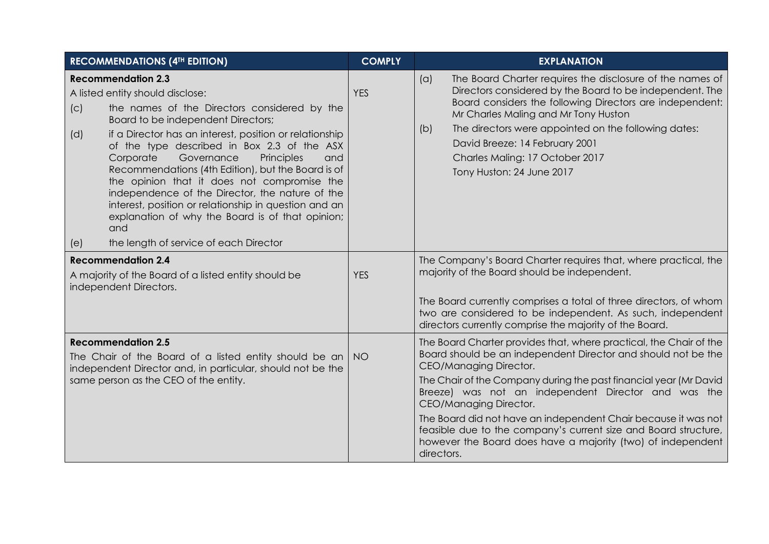| <b>RECOMMENDATIONS (4TH EDITION)</b>                                                                                                                                                                                                                                                                                                                                                                                                                                                                                                                                                                                                                     | <b>COMPLY</b> | <b>EXPLANATION</b>                                                                                                                                                                                                                                                                                                                                                                                                                                                                                                                    |
|----------------------------------------------------------------------------------------------------------------------------------------------------------------------------------------------------------------------------------------------------------------------------------------------------------------------------------------------------------------------------------------------------------------------------------------------------------------------------------------------------------------------------------------------------------------------------------------------------------------------------------------------------------|---------------|---------------------------------------------------------------------------------------------------------------------------------------------------------------------------------------------------------------------------------------------------------------------------------------------------------------------------------------------------------------------------------------------------------------------------------------------------------------------------------------------------------------------------------------|
| <b>Recommendation 2.3</b><br>A listed entity should disclose:<br>the names of the Directors considered by the<br>(C)<br>Board to be independent Directors;<br>if a Director has an interest, position or relationship<br>(d)<br>of the type described in Box 2.3 of the ASX<br>Corporate<br>Governance<br>Principles<br>and<br>Recommendations (4th Edition), but the Board is of<br>the opinion that it does not compromise the<br>independence of the Director, the nature of the<br>interest, position or relationship in question and an<br>explanation of why the Board is of that opinion;<br>and<br>the length of service of each Director<br>(e) | <b>YES</b>    | The Board Charter requires the disclosure of the names of<br>(a)<br>Directors considered by the Board to be independent. The<br>Board considers the following Directors are independent:<br>Mr Charles Maling and Mr Tony Huston<br>The directors were appointed on the following dates:<br>(b)<br>David Breeze: 14 February 2001<br>Charles Maling: 17 October 2017<br>Tony Huston: 24 June 2017                                                                                                                                     |
| <b>Recommendation 2.4</b><br>A majority of the Board of a listed entity should be<br>independent Directors.                                                                                                                                                                                                                                                                                                                                                                                                                                                                                                                                              | <b>YES</b>    | The Company's Board Charter requires that, where practical, the<br>majority of the Board should be independent.<br>The Board currently comprises a total of three directors, of whom<br>two are considered to be independent. As such, independent<br>directors currently comprise the majority of the Board.                                                                                                                                                                                                                         |
| <b>Recommendation 2.5</b><br>The Chair of the Board of a listed entity should be an<br>independent Director and, in particular, should not be the<br>same person as the CEO of the entity.                                                                                                                                                                                                                                                                                                                                                                                                                                                               | <b>NO</b>     | The Board Charter provides that, where practical, the Chair of the<br>Board should be an independent Director and should not be the<br>CEO/Managing Director.<br>The Chair of the Company during the past financial year (Mr David<br>Breeze) was not an independent Director and was the<br>CEO/Managing Director.<br>The Board did not have an independent Chair because it was not<br>feasible due to the company's current size and Board structure,<br>however the Board does have a majority (two) of independent<br>directors. |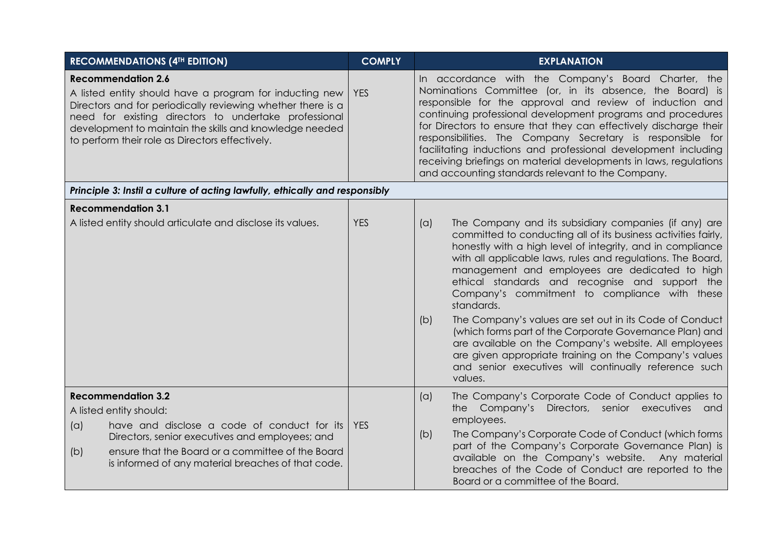| <b>RECOMMENDATIONS (4TH EDITION)</b>                                                                                                                                                                                                                                                                                       | <b>COMPLY</b> | <b>EXPLANATION</b>                                                                                                                                                                                                                                                                                                                                                                                                                                                                                                                                                                                                                                                                                                                                  |  |  |
|----------------------------------------------------------------------------------------------------------------------------------------------------------------------------------------------------------------------------------------------------------------------------------------------------------------------------|---------------|-----------------------------------------------------------------------------------------------------------------------------------------------------------------------------------------------------------------------------------------------------------------------------------------------------------------------------------------------------------------------------------------------------------------------------------------------------------------------------------------------------------------------------------------------------------------------------------------------------------------------------------------------------------------------------------------------------------------------------------------------------|--|--|
| <b>Recommendation 2.6</b><br>A listed entity should have a program for inducting new<br>Directors and for periodically reviewing whether there is a<br>need for existing directors to undertake professional<br>development to maintain the skills and knowledge needed<br>to perform their role as Directors effectively. | <b>YES</b>    | In accordance with the Company's Board Charter, the<br>Nominations Committee (or, in its absence, the Board) is<br>responsible for the approval and review of induction and<br>continuing professional development programs and procedures<br>for Directors to ensure that they can effectively discharge their<br>responsibilities. The Company Secretary is responsible for<br>facilitating inductions and professional development including<br>receiving briefings on material developments in laws, regulations<br>and accounting standards relevant to the Company.                                                                                                                                                                           |  |  |
| Principle 3: Instil a culture of acting lawfully, ethically and responsibly                                                                                                                                                                                                                                                |               |                                                                                                                                                                                                                                                                                                                                                                                                                                                                                                                                                                                                                                                                                                                                                     |  |  |
| <b>Recommendation 3.1</b>                                                                                                                                                                                                                                                                                                  |               |                                                                                                                                                                                                                                                                                                                                                                                                                                                                                                                                                                                                                                                                                                                                                     |  |  |
| A listed entity should articulate and disclose its values.                                                                                                                                                                                                                                                                 | <b>YES</b>    | The Company and its subsidiary companies (if any) are<br>(a)<br>committed to conducting all of its business activities fairly,<br>honestly with a high level of integrity, and in compliance<br>with all applicable laws, rules and regulations. The Board,<br>management and employees are dedicated to high<br>ethical standards and recognise and support the<br>Company's commitment to compliance with these<br>standards.<br>The Company's values are set out in its Code of Conduct<br>(b)<br>(which forms part of the Corporate Governance Plan) and<br>are available on the Company's website. All employees<br>are given appropriate training on the Company's values<br>and senior executives will continually reference such<br>values. |  |  |
| <b>Recommendation 3.2</b><br>A listed entity should:<br>have and disclose a code of conduct for its<br>(a)<br>Directors, senior executives and employees; and<br>ensure that the Board or a committee of the Board<br>(b)<br>is informed of any material breaches of that code.                                            | <b>YES</b>    | The Company's Corporate Code of Conduct applies to<br>(a)<br>the Company's Directors, senior executives and<br>employees.<br>The Company's Corporate Code of Conduct (which forms<br>(b)<br>part of the Company's Corporate Governance Plan) is<br>available on the Company's website. Any material<br>breaches of the Code of Conduct are reported to the<br>Board or a committee of the Board.                                                                                                                                                                                                                                                                                                                                                    |  |  |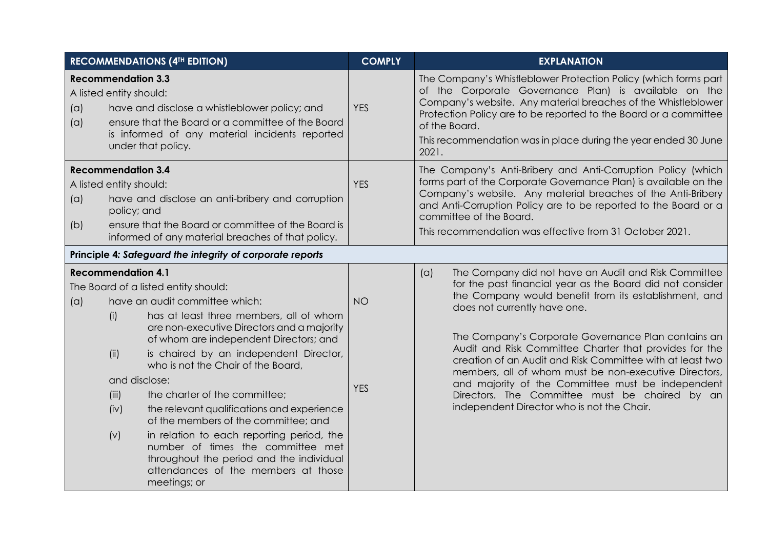|            |                                                                                   | <b>RECOMMENDATIONS (4TH EDITION)</b>                                                                                                                                                                                                                                                                                                                                                                                                                                                                                                                                                                  | <b>COMPLY</b>           | <b>EXPLANATION</b>                                                                                                                                                                                                                                                                                                                                                                                                                                                                                                                                                                                            |  |  |
|------------|-----------------------------------------------------------------------------------|-------------------------------------------------------------------------------------------------------------------------------------------------------------------------------------------------------------------------------------------------------------------------------------------------------------------------------------------------------------------------------------------------------------------------------------------------------------------------------------------------------------------------------------------------------------------------------------------------------|-------------------------|---------------------------------------------------------------------------------------------------------------------------------------------------------------------------------------------------------------------------------------------------------------------------------------------------------------------------------------------------------------------------------------------------------------------------------------------------------------------------------------------------------------------------------------------------------------------------------------------------------------|--|--|
| (a)<br>(a) | <b>Recommendation 3.3</b><br>A listed entity should:                              | have and disclose a whistleblower policy; and<br>ensure that the Board or a committee of the Board<br>is informed of any material incidents reported<br>under that policy.                                                                                                                                                                                                                                                                                                                                                                                                                            | <b>YES</b>              | The Company's Whistleblower Protection Policy (which forms part<br>of the Corporate Governance Plan) is available on the<br>Company's website. Any material breaches of the Whistleblower<br>Protection Policy are to be reported to the Board or a committee<br>of the Board.<br>This recommendation was in place during the year ended 30 June<br>2021.                                                                                                                                                                                                                                                     |  |  |
| (a)<br>(b) | <b>Recommendation 3.4</b><br>A listed entity should:<br>policy; and               | have and disclose an anti-bribery and corruption<br>ensure that the Board or committee of the Board is<br>informed of any material breaches of that policy.                                                                                                                                                                                                                                                                                                                                                                                                                                           | <b>YES</b>              | The Company's Anti-Bribery and Anti-Corruption Policy (which<br>forms part of the Corporate Governance Plan) is available on the<br>Company's website. Any material breaches of the Anti-Bribery<br>and Anti-Corruption Policy are to be reported to the Board or a<br>committee of the Board.<br>This recommendation was effective from 31 October 2021.                                                                                                                                                                                                                                                     |  |  |
|            | Principle 4: Safeguard the integrity of corporate reports                         |                                                                                                                                                                                                                                                                                                                                                                                                                                                                                                                                                                                                       |                         |                                                                                                                                                                                                                                                                                                                                                                                                                                                                                                                                                                                                               |  |  |
| (a)        | <b>Recommendation 4.1</b><br>(i)<br>(ii)<br>and disclose:<br>(iii)<br>(iv)<br>(v) | The Board of a listed entity should:<br>have an audit committee which:<br>has at least three members, all of whom<br>are non-executive Directors and a majority<br>of whom are independent Directors; and<br>is chaired by an independent Director,<br>who is not the Chair of the Board,<br>the charter of the committee;<br>the relevant qualifications and experience<br>of the members of the committee; and<br>in relation to each reporting period, the<br>number of times the committee met<br>throughout the period and the individual<br>attendances of the members at those<br>meetings; or | <b>NO</b><br><b>YES</b> | The Company did not have an Audit and Risk Committee<br>(a)<br>for the past financial year as the Board did not consider<br>the Company would benefit from its establishment, and<br>does not currently have one.<br>The Company's Corporate Governance Plan contains an<br>Audit and Risk Committee Charter that provides for the<br>creation of an Audit and Risk Committee with at least two<br>members, all of whom must be non-executive Directors,<br>and majority of the Committee must be independent<br>Directors. The Committee must be chaired by an<br>independent Director who is not the Chair. |  |  |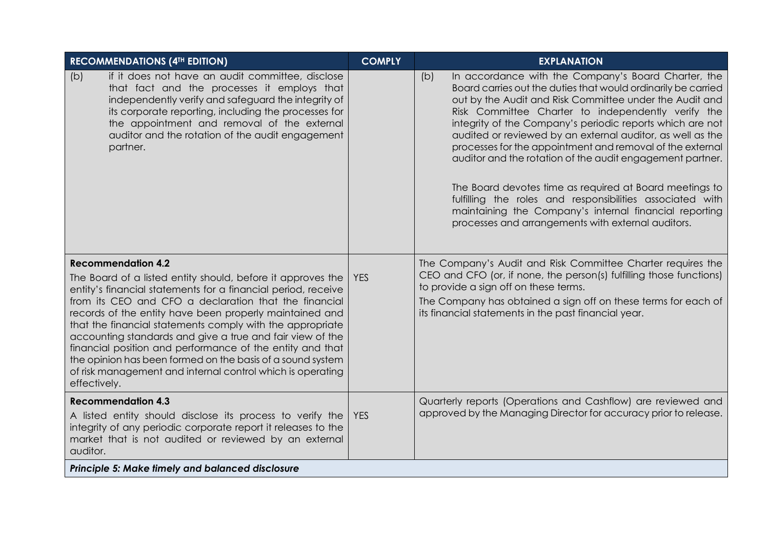| <b>RECOMMENDATIONS (4TH EDITION)</b>                                                                                                                                                                                                                                                                                                                                                                                                                                                                                                                                                                             | <b>COMPLY</b> | <b>EXPLANATION</b>                                                                                                                                                                                                                                                                                                                                                                                                                                                                                                                                                                                                                                                                                                                        |
|------------------------------------------------------------------------------------------------------------------------------------------------------------------------------------------------------------------------------------------------------------------------------------------------------------------------------------------------------------------------------------------------------------------------------------------------------------------------------------------------------------------------------------------------------------------------------------------------------------------|---------------|-------------------------------------------------------------------------------------------------------------------------------------------------------------------------------------------------------------------------------------------------------------------------------------------------------------------------------------------------------------------------------------------------------------------------------------------------------------------------------------------------------------------------------------------------------------------------------------------------------------------------------------------------------------------------------------------------------------------------------------------|
| if it does not have an audit committee, disclose<br>(b)<br>that fact and the processes it employs that<br>independently verify and safeguard the integrity of<br>its corporate reporting, including the processes for<br>the appointment and removal of the external<br>auditor and the rotation of the audit engagement<br>partner.                                                                                                                                                                                                                                                                             |               | In accordance with the Company's Board Charter, the<br>(b)<br>Board carries out the duties that would ordinarily be carried<br>out by the Audit and Risk Committee under the Audit and<br>Risk Committee Charter to independently verify the<br>integrity of the Company's periodic reports which are not<br>audited or reviewed by an external auditor, as well as the<br>processes for the appointment and removal of the external<br>auditor and the rotation of the audit engagement partner.<br>The Board devotes time as required at Board meetings to<br>fulfilling the roles and responsibilities associated with<br>maintaining the Company's internal financial reporting<br>processes and arrangements with external auditors. |
| <b>Recommendation 4.2</b><br>The Board of a listed entity should, before it approves the<br>entity's financial statements for a financial period, receive<br>from its CEO and CFO a declaration that the financial<br>records of the entity have been properly maintained and<br>that the financial statements comply with the appropriate<br>accounting standards and give a true and fair view of the<br>financial position and performance of the entity and that<br>the opinion has been formed on the basis of a sound system<br>of risk management and internal control which is operating<br>effectively. | <b>YES</b>    | The Company's Audit and Risk Committee Charter requires the<br>CEO and CFO (or, if none, the person(s) fulfilling those functions)<br>to provide a sign off on these terms.<br>The Company has obtained a sign off on these terms for each of<br>its financial statements in the past financial year.                                                                                                                                                                                                                                                                                                                                                                                                                                     |
| <b>Recommendation 4.3</b><br>A listed entity should disclose its process to verify the<br>integrity of any periodic corporate report it releases to the<br>market that is not audited or reviewed by an external<br>auditor.                                                                                                                                                                                                                                                                                                                                                                                     | <b>YES</b>    | Quarterly reports (Operations and Cashflow) are reviewed and<br>approved by the Managing Director for accuracy prior to release.                                                                                                                                                                                                                                                                                                                                                                                                                                                                                                                                                                                                          |
| Principle 5: Make timely and balanced disclosure                                                                                                                                                                                                                                                                                                                                                                                                                                                                                                                                                                 |               |                                                                                                                                                                                                                                                                                                                                                                                                                                                                                                                                                                                                                                                                                                                                           |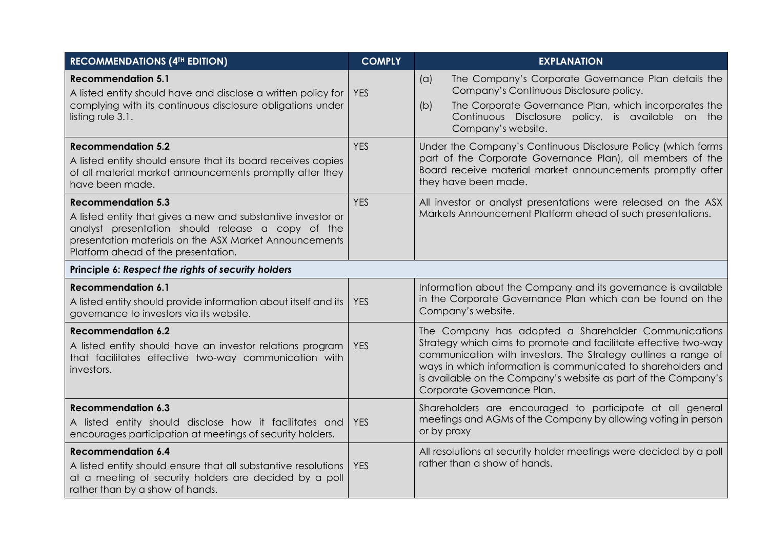| <b>RECOMMENDATIONS (4TH EDITION)</b>                                                                                                                                                                                                            | <b>COMPLY</b> | <b>EXPLANATION</b>                                                                                                                                                                                                                                                                                                                                         |
|-------------------------------------------------------------------------------------------------------------------------------------------------------------------------------------------------------------------------------------------------|---------------|------------------------------------------------------------------------------------------------------------------------------------------------------------------------------------------------------------------------------------------------------------------------------------------------------------------------------------------------------------|
| <b>Recommendation 5.1</b><br>A listed entity should have and disclose a written policy for<br>complying with its continuous disclosure obligations under<br>listing rule 3.1.                                                                   | <b>YES</b>    | The Company's Corporate Governance Plan details the<br>(a)<br>Company's Continuous Disclosure policy.<br>The Corporate Governance Plan, which incorporates the<br>(b)<br>Continuous Disclosure policy, is available on the<br>Company's website.                                                                                                           |
| <b>Recommendation 5.2</b><br>A listed entity should ensure that its board receives copies<br>of all material market announcements promptly after they<br>have been made.                                                                        | <b>YES</b>    | Under the Company's Continuous Disclosure Policy (which forms<br>part of the Corporate Governance Plan), all members of the<br>Board receive material market announcements promptly after<br>they have been made.                                                                                                                                          |
| <b>Recommendation 5.3</b><br>A listed entity that gives a new and substantive investor or<br>analyst presentation should release a copy of the<br>presentation materials on the ASX Market Announcements<br>Platform ahead of the presentation. | <b>YES</b>    | All investor or analyst presentations were released on the ASX<br>Markets Announcement Platform ahead of such presentations.                                                                                                                                                                                                                               |
| Principle 6: Respect the rights of security holders                                                                                                                                                                                             |               |                                                                                                                                                                                                                                                                                                                                                            |
| <b>Recommendation 6.1</b><br>A listed entity should provide information about itself and its<br>governance to investors via its website.                                                                                                        | <b>YES</b>    | Information about the Company and its governance is available<br>in the Corporate Governance Plan which can be found on the<br>Company's website.                                                                                                                                                                                                          |
| <b>Recommendation 6.2</b><br>A listed entity should have an investor relations program<br>that facilitates effective two-way communication with<br>investors.                                                                                   | <b>YES</b>    | The Company has adopted a Shareholder Communications<br>Strategy which aims to promote and facilitate effective two-way<br>communication with investors. The Strategy outlines a range of<br>ways in which information is communicated to shareholders and<br>is available on the Company's website as part of the Company's<br>Corporate Governance Plan. |
| <b>Recommendation 6.3</b><br>A listed entity should disclose how it facilitates and<br>encourages participation at meetings of security holders.                                                                                                | <b>YES</b>    | Shareholders are encouraged to participate at all general<br>meetings and AGMs of the Company by allowing voting in person<br>or by proxy                                                                                                                                                                                                                  |
| <b>Recommendation 6.4</b><br>A listed entity should ensure that all substantive resolutions<br>at a meeting of security holders are decided by a poll<br>rather than by a show of hands.                                                        | <b>YES</b>    | All resolutions at security holder meetings were decided by a poll<br>rather than a show of hands.                                                                                                                                                                                                                                                         |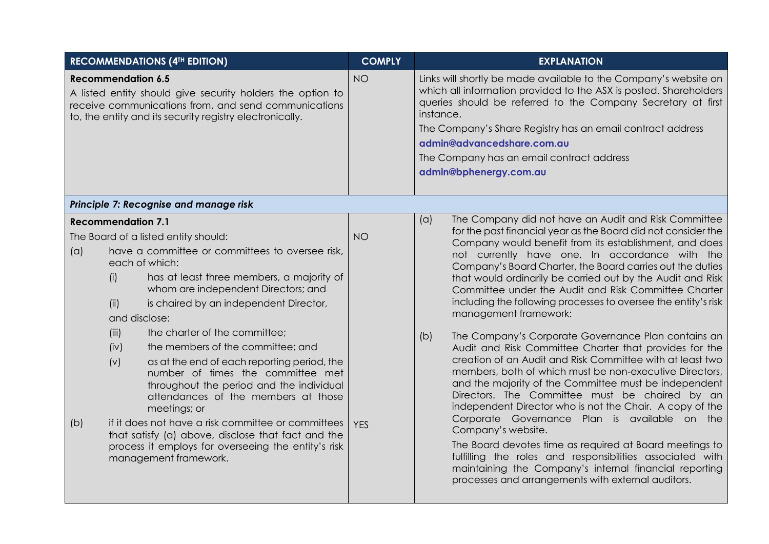| <b>RECOMMENDATIONS (4TH EDITION)</b>                                                                                                                                                                        |                                                                                                                                                                                                                                                                                                                                                                                                                                                                                                                                                                                                                                        | <b>COMPLY</b>           |            | <b>EXPLANATION</b>                                                                                                                                                                                                                                                                                                                                                                                                                                                                                                                                                                                                                                                                                                                                                                                                                                                                                                                                                                                                                                                                                                                                                                                                                             |
|-------------------------------------------------------------------------------------------------------------------------------------------------------------------------------------------------------------|----------------------------------------------------------------------------------------------------------------------------------------------------------------------------------------------------------------------------------------------------------------------------------------------------------------------------------------------------------------------------------------------------------------------------------------------------------------------------------------------------------------------------------------------------------------------------------------------------------------------------------------|-------------------------|------------|------------------------------------------------------------------------------------------------------------------------------------------------------------------------------------------------------------------------------------------------------------------------------------------------------------------------------------------------------------------------------------------------------------------------------------------------------------------------------------------------------------------------------------------------------------------------------------------------------------------------------------------------------------------------------------------------------------------------------------------------------------------------------------------------------------------------------------------------------------------------------------------------------------------------------------------------------------------------------------------------------------------------------------------------------------------------------------------------------------------------------------------------------------------------------------------------------------------------------------------------|
| <b>Recommendation 6.5</b><br>A listed entity should give security holders the option to<br>receive communications from, and send communications<br>to, the entity and its security registry electronically. |                                                                                                                                                                                                                                                                                                                                                                                                                                                                                                                                                                                                                                        | <b>NO</b>               | instance.  | Links will shortly be made available to the Company's website on<br>which all information provided to the ASX is posted. Shareholders<br>queries should be referred to the Company Secretary at first<br>The Company's Share Registry has an email contract address<br>admin@advancedshare.com.au<br>The Company has an email contract address<br>admin@bphenergy.com.au                                                                                                                                                                                                                                                                                                                                                                                                                                                                                                                                                                                                                                                                                                                                                                                                                                                                       |
|                                                                                                                                                                                                             | Principle 7: Recognise and manage risk                                                                                                                                                                                                                                                                                                                                                                                                                                                                                                                                                                                                 |                         |            |                                                                                                                                                                                                                                                                                                                                                                                                                                                                                                                                                                                                                                                                                                                                                                                                                                                                                                                                                                                                                                                                                                                                                                                                                                                |
| <b>Recommendation 7.1</b><br>The Board of a listed entity should:<br>(a)<br>each of which:<br>(i)<br>(ii)<br>and disclose:<br>(iii)<br>(iv)<br>(v)<br>(b)                                                   | have a committee or committees to oversee risk,<br>has at least three members, a majority of<br>whom are independent Directors; and<br>is chaired by an independent Director,<br>the charter of the committee;<br>the members of the committee; and<br>as at the end of each reporting period, the<br>number of times the committee met<br>throughout the period and the individual<br>attendances of the members at those<br>meetings; or<br>if it does not have a risk committee or committees<br>that satisfy (a) above, disclose that fact and the<br>process it employs for overseeing the entity's risk<br>management framework. | <b>NO</b><br><b>YES</b> | (a)<br>(b) | The Company did not have an Audit and Risk Committee<br>for the past financial year as the Board did not consider the<br>Company would benefit from its establishment, and does<br>not currently have one. In accordance with the<br>Company's Board Charter, the Board carries out the duties<br>that would ordinarily be carried out by the Audit and Risk<br>Committee under the Audit and Risk Committee Charter<br>including the following processes to oversee the entity's risk<br>management framework:<br>The Company's Corporate Governance Plan contains an<br>Audit and Risk Committee Charter that provides for the<br>creation of an Audit and Risk Committee with at least two<br>members, both of which must be non-executive Directors,<br>and the majority of the Committee must be independent<br>Directors. The Committee must be chaired by an<br>independent Director who is not the Chair. A copy of the<br>Corporate Governance Plan is available on the<br>Company's website.<br>The Board devotes time as required at Board meetings to<br>fulfilling the roles and responsibilities associated with<br>maintaining the Company's internal financial reporting<br>processes and arrangements with external auditors. |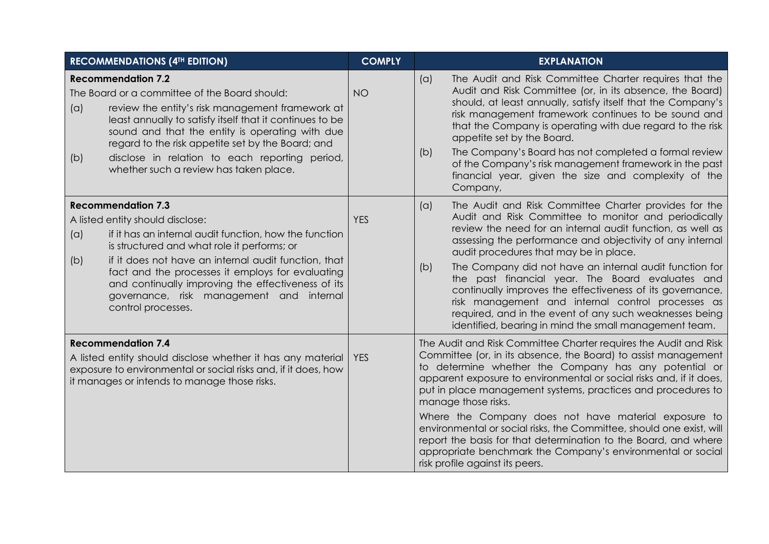| <b>RECOMMENDATIONS (4TH EDITION)</b>                                                                                                                                                                       |                                                                                                                                                                                                                                                                                                                                                                                                            | <b>COMPLY</b> | <b>EXPLANATION</b>                                                                                                                                                                                                                                                                                                                                                                                                                                                                                                                                                                                                                                             |
|------------------------------------------------------------------------------------------------------------------------------------------------------------------------------------------------------------|------------------------------------------------------------------------------------------------------------------------------------------------------------------------------------------------------------------------------------------------------------------------------------------------------------------------------------------------------------------------------------------------------------|---------------|----------------------------------------------------------------------------------------------------------------------------------------------------------------------------------------------------------------------------------------------------------------------------------------------------------------------------------------------------------------------------------------------------------------------------------------------------------------------------------------------------------------------------------------------------------------------------------------------------------------------------------------------------------------|
| (a)<br>(b)                                                                                                                                                                                                 | <b>Recommendation 7.2</b><br>The Board or a committee of the Board should:<br>review the entity's risk management framework at<br>least annually to satisfy itself that it continues to be<br>sound and that the entity is operating with due<br>regard to the risk appetite set by the Board; and<br>disclose in relation to each reporting period,<br>whether such a review has taken place.             | <b>NO</b>     | The Audit and Risk Committee Charter requires that the<br>(a)<br>Audit and Risk Committee (or, in its absence, the Board)<br>should, at least annually, satisfy itself that the Company's<br>risk management framework continues to be sound and<br>that the Company is operating with due regard to the risk<br>appetite set by the Board.<br>The Company's Board has not completed a formal review<br>(b)<br>of the Company's risk management framework in the past<br>financial year, given the size and complexity of the<br>Company,                                                                                                                      |
| (a)<br>(b)                                                                                                                                                                                                 | <b>Recommendation 7.3</b><br>A listed entity should disclose:<br>if it has an internal audit function, how the function<br>is structured and what role it performs; or<br>if it does not have an internal audit function, that<br>fact and the processes it employs for evaluating<br>and continually improving the effectiveness of its<br>governance, risk management and internal<br>control processes. | <b>YES</b>    | The Audit and Risk Committee Charter provides for the<br>(a)<br>Audit and Risk Committee to monitor and periodically<br>review the need for an internal audit function, as well as<br>assessing the performance and objectivity of any internal<br>audit procedures that may be in place.<br>The Company did not have an internal audit function for<br>(b)<br>the past financial year. The Board evaluates and<br>continually improves the effectiveness of its governance,<br>risk management and internal control processes as<br>required, and in the event of any such weaknesses being<br>identified, bearing in mind the small management team.         |
| <b>Recommendation 7.4</b><br>A listed entity should disclose whether it has any material<br>exposure to environmental or social risks and, if it does, how<br>it manages or intends to manage those risks. |                                                                                                                                                                                                                                                                                                                                                                                                            | <b>YES</b>    | The Audit and Risk Committee Charter requires the Audit and Risk<br>Committee (or, in its absence, the Board) to assist management<br>to determine whether the Company has any potential or<br>apparent exposure to environmental or social risks and, if it does,<br>put in place management systems, practices and procedures to<br>manage those risks.<br>Where the Company does not have material exposure to<br>environmental or social risks, the Committee, should one exist, will<br>report the basis for that determination to the Board, and where<br>appropriate benchmark the Company's environmental or social<br>risk profile against its peers. |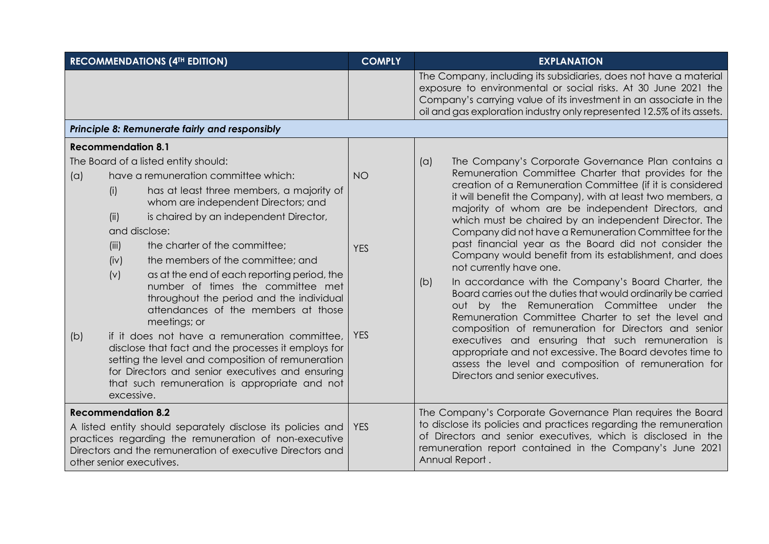| <b>RECOMMENDATIONS (4TH EDITION)</b>                                                                                                                                                                                                       |                                                                                                                                                                                                                                                                                                                                                                                                                              | <b>COMPLY</b>           | <b>EXPLANATION</b>                                                                                                                                                                                                                                                                                                                                                                                                                                                                                                                                                                                                               |  |  |  |  |
|--------------------------------------------------------------------------------------------------------------------------------------------------------------------------------------------------------------------------------------------|------------------------------------------------------------------------------------------------------------------------------------------------------------------------------------------------------------------------------------------------------------------------------------------------------------------------------------------------------------------------------------------------------------------------------|-------------------------|----------------------------------------------------------------------------------------------------------------------------------------------------------------------------------------------------------------------------------------------------------------------------------------------------------------------------------------------------------------------------------------------------------------------------------------------------------------------------------------------------------------------------------------------------------------------------------------------------------------------------------|--|--|--|--|
|                                                                                                                                                                                                                                            |                                                                                                                                                                                                                                                                                                                                                                                                                              |                         | The Company, including its subsidiaries, does not have a material<br>exposure to environmental or social risks. At 30 June 2021 the<br>Company's carrying value of its investment in an associate in the<br>oil and gas exploration industry only represented 12.5% of its assets.                                                                                                                                                                                                                                                                                                                                               |  |  |  |  |
| Principle 8: Remunerate fairly and responsibly                                                                                                                                                                                             |                                                                                                                                                                                                                                                                                                                                                                                                                              |                         |                                                                                                                                                                                                                                                                                                                                                                                                                                                                                                                                                                                                                                  |  |  |  |  |
|                                                                                                                                                                                                                                            | <b>Recommendation 8.1</b>                                                                                                                                                                                                                                                                                                                                                                                                    |                         |                                                                                                                                                                                                                                                                                                                                                                                                                                                                                                                                                                                                                                  |  |  |  |  |
| (a)                                                                                                                                                                                                                                        | The Board of a listed entity should:<br>have a remuneration committee which:<br>has at least three members, a majority of<br>(i)<br>whom are independent Directors; and<br>is chaired by an independent Director,<br>(ii)<br>and disclose:<br>(iii)<br>the charter of the committee;<br>the members of the committee; and<br>(iv)<br>as at the end of each reporting period, the<br>(v)<br>number of times the committee met | <b>NO</b><br><b>YES</b> | The Company's Corporate Governance Plan contains a<br>(a)<br>Remuneration Committee Charter that provides for the<br>creation of a Remuneration Committee (if it is considered<br>it will benefit the Company), with at least two members, a<br>majority of whom are be independent Directors, and<br>which must be chaired by an independent Director. The<br>Company did not have a Remuneration Committee for the<br>past financial year as the Board did not consider the<br>Company would benefit from its establishment, and does<br>not currently have one.<br>In accordance with the Company's Board Charter, the<br>(b) |  |  |  |  |
| (b)                                                                                                                                                                                                                                        | throughout the period and the individual<br>attendances of the members at those<br>meetings; or<br>if it does not have a remuneration committee,<br>disclose that fact and the processes it employs for<br>setting the level and composition of remuneration<br>for Directors and senior executives and ensuring<br>that such remuneration is appropriate and not<br>excessive.                                              | <b>YES</b>              | Board carries out the duties that would ordinarily be carried<br>out by the Remuneration Committee under the<br>Remuneration Committee Charter to set the level and<br>composition of remuneration for Directors and senior<br>executives and ensuring that such remuneration is<br>appropriate and not excessive. The Board devotes time to<br>assess the level and composition of remuneration for<br>Directors and senior executives.                                                                                                                                                                                         |  |  |  |  |
| <b>Recommendation 8.2</b><br>A listed entity should separately disclose its policies and<br>practices regarding the remuneration of non-executive<br>Directors and the remuneration of executive Directors and<br>other senior executives. |                                                                                                                                                                                                                                                                                                                                                                                                                              | <b>YES</b>              | The Company's Corporate Governance Plan requires the Board<br>to disclose its policies and practices regarding the remuneration<br>of Directors and senior executives, which is disclosed in the<br>remuneration report contained in the Company's June 2021<br>Annual Report.                                                                                                                                                                                                                                                                                                                                                   |  |  |  |  |